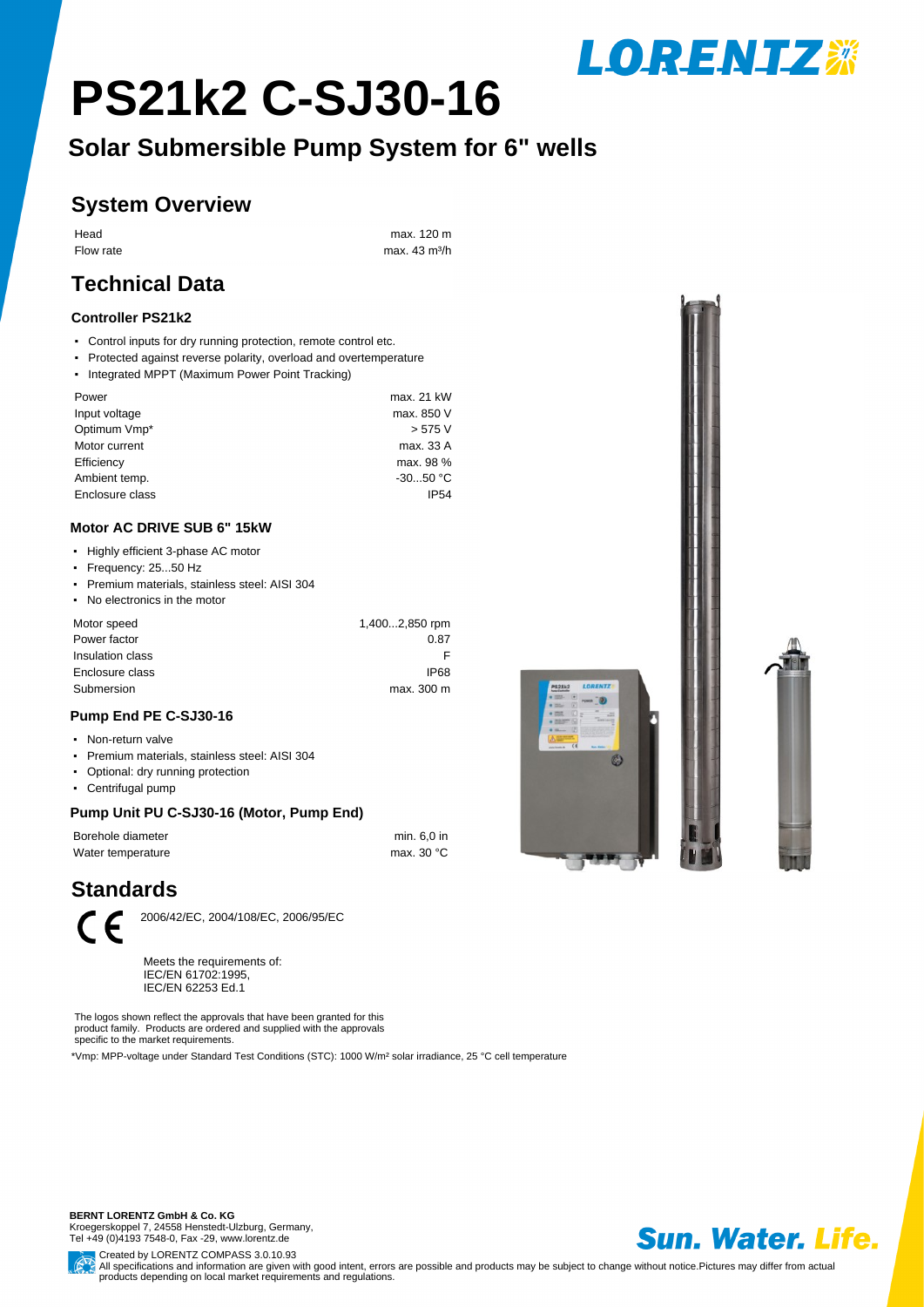# **PS21k2 C-SJ30-16**

**Solar Submersible Pump System for 6" wells**

### **System Overview**

Head max. 120 m Flow rate max. 43 m<sup>3/h</sup>

## **Technical Data**

#### **Controller PS21k2**

- Control inputs for dry running protection, remote control etc.
- Protected against reverse polarity, overload and overtemperature
- Integrated MPPT (Maximum Power Point Tracking)

| Power           | max. 21 kW  |
|-----------------|-------------|
| Input voltage   | max. 850 V  |
| Optimum Vmp*    | > 575 V     |
| Motor current   | max. 33 A   |
| Efficiency      | max. 98 %   |
| Ambient temp.   | $-3050 °C$  |
| Enclosure class | <b>IP54</b> |
|                 |             |

#### **Motor AC DRIVE SUB 6" 15kW**

- Highly efficient 3-phase AC motor
- ƒFrequency: 25...50 Hz
- ƒPremium materials, stainless steel: AISI 304
- No electronics in the motor

| 1,4002,850 rpm |
|----------------|
| 0.87           |
|                |
| IP68           |
| max. 300 m     |
|                |

#### **Pump End PE C-SJ30-16**

#### • Non-return valve

- ƒPremium materials, stainless steel: AISI 304
- Optional: dry running protection
- Centrifugal pump

#### **Pump Unit PU C-SJ30-16 (Motor, Pump End)**

| Borehole diameter | min. 6.0 in |
|-------------------|-------------|
| Water temperature | max. 30 °C  |

## **Standards**



2006/42/EC, 2004/108/EC, 2006/95/EC

Meets the requirements of: IEC/EN 61702:1995, IEC/EN 62253 Ed.1

The logos shown reflect the approvals that have been granted for this product family. Products are ordered and supplied with the approvals specific to the market requirements.

\*Vmp: MPP-voltage under Standard Test Conditions (STC): 1000 W/m² solar irradiance, 25 °C cell temperature

**BERNT LORENTZ GmbH & Co. KG** Kroegerskoppel 7, 24558 Henstedt-Ulzburg, Germany, Tel +49 (0)4193 7548-0, Fax -29, www.lorentz.de



**LORENTZ\*** 



Created by LORENTZ COMPASS 3.0.10.93 All specifications and information are given with good intent, errors are possible and products may be subject to change without notice. Pictures may differ from actual products depending on local market requirements and regulations.